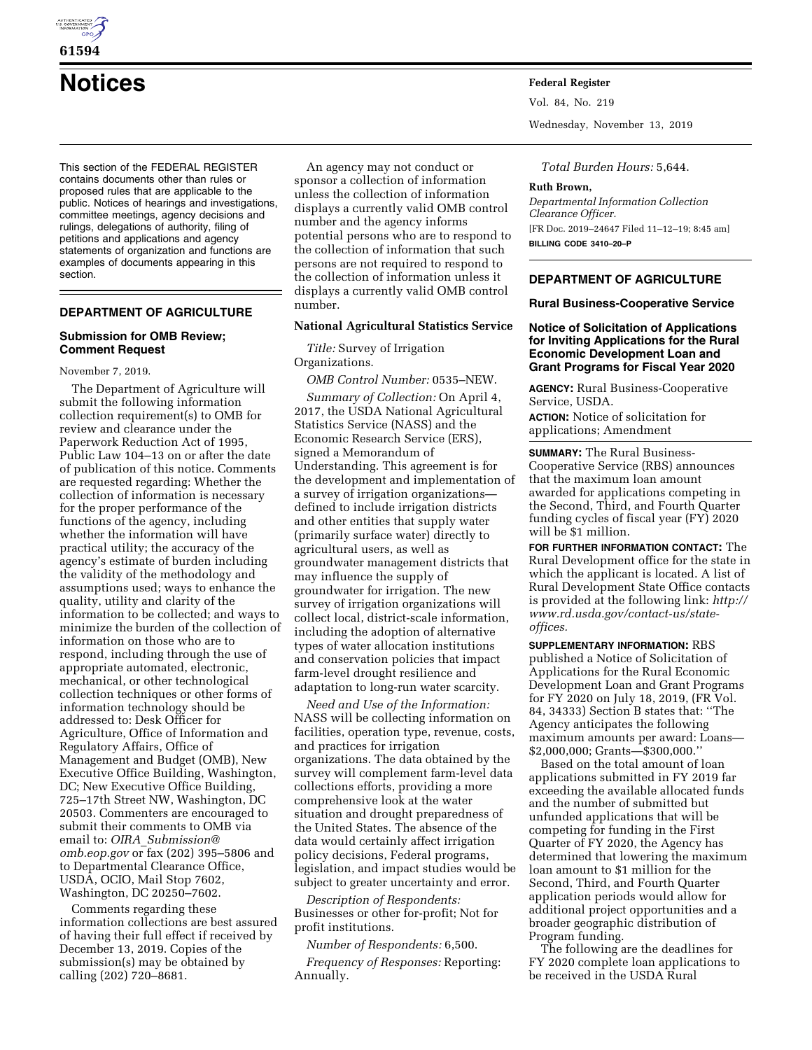

# **Notices Federal Register**

This section of the FEDERAL REGISTER contains documents other than rules or proposed rules that are applicable to the public. Notices of hearings and investigations, committee meetings, agency decisions and rulings, delegations of authority, filing of petitions and applications and agency statements of organization and functions are examples of documents appearing in this section.

# **DEPARTMENT OF AGRICULTURE**

#### **Submission for OMB Review; Comment Request**

November 7, 2019.

The Department of Agriculture will submit the following information collection requirement(s) to OMB for review and clearance under the Paperwork Reduction Act of 1995, Public Law 104–13 on or after the date of publication of this notice. Comments are requested regarding: Whether the collection of information is necessary for the proper performance of the functions of the agency, including whether the information will have practical utility; the accuracy of the agency's estimate of burden including the validity of the methodology and assumptions used; ways to enhance the quality, utility and clarity of the information to be collected; and ways to minimize the burden of the collection of information on those who are to respond, including through the use of appropriate automated, electronic, mechanical, or other technological collection techniques or other forms of information technology should be addressed to: Desk Officer for Agriculture, Office of Information and Regulatory Affairs, Office of Management and Budget (OMB), New Executive Office Building, Washington, DC; New Executive Office Building, 725–17th Street NW, Washington, DC 20503. Commenters are encouraged to submit their comments to OMB via email to: *OIRA*\_*[Submission@](mailto:OIRA_Submission@omb.eop.gov) [omb.eop.gov](mailto:OIRA_Submission@omb.eop.gov)* or fax (202) 395–5806 and to Departmental Clearance Office, USDA, OCIO, Mail Stop 7602, Washington, DC 20250–7602.

Comments regarding these information collections are best assured of having their full effect if received by December 13, 2019. Copies of the submission(s) may be obtained by calling (202) 720–8681.

An agency may not conduct or sponsor a collection of information unless the collection of information displays a currently valid OMB control number and the agency informs potential persons who are to respond to the collection of information that such persons are not required to respond to the collection of information unless it displays a currently valid OMB control number.

## **National Agricultural Statistics Service**

*Title:* Survey of Irrigation Organizations.

*OMB Control Number:* 0535–NEW.

*Summary of Collection:* On April 4, 2017, the USDA National Agricultural Statistics Service (NASS) and the Economic Research Service (ERS), signed a Memorandum of Understanding. This agreement is for the development and implementation of a survey of irrigation organizations defined to include irrigation districts and other entities that supply water (primarily surface water) directly to agricultural users, as well as groundwater management districts that may influence the supply of groundwater for irrigation. The new survey of irrigation organizations will collect local, district-scale information, including the adoption of alternative types of water allocation institutions and conservation policies that impact farm-level drought resilience and adaptation to long-run water scarcity.

*Need and Use of the Information:*  NASS will be collecting information on facilities, operation type, revenue, costs, and practices for irrigation organizations. The data obtained by the survey will complement farm-level data collections efforts, providing a more comprehensive look at the water situation and drought preparedness of the United States. The absence of the data would certainly affect irrigation policy decisions, Federal programs, legislation, and impact studies would be subject to greater uncertainty and error.

*Description of Respondents:*  Businesses or other for-profit; Not for profit institutions.

*Number of Respondents:* 6,500.

*Frequency of Responses:* Reporting: Annually.

Vol. 84, No. 219

Wednesday, November 13, 2019

*Total Burden Hours:* 5,644.

#### **Ruth Brown,**

*Departmental Information Collection Clearance Officer.*  [FR Doc. 2019–24647 Filed 11–12–19; 8:45 am] **BILLING CODE 3410–20–P** 

## **DEPARTMENT OF AGRICULTURE**

## **Rural Business-Cooperative Service**

## **Notice of Solicitation of Applications for Inviting Applications for the Rural Economic Development Loan and Grant Programs for Fiscal Year 2020**

**AGENCY:** Rural Business-Cooperative Service, USDA. **ACTION:** Notice of solicitation for

applications; Amendment

**SUMMARY:** The Rural Business-Cooperative Service (RBS) announces that the maximum loan amount awarded for applications competing in the Second, Third, and Fourth Quarter funding cycles of fiscal year (FY) 2020 will be \$1 million.

**FOR FURTHER INFORMATION CONTACT:** The Rural Development office for the state in which the applicant is located. A list of Rural Development State Office contacts is provided at the following link: *[http://](http://www.rd.usda.gov/contact-us/state-offices)  [www.rd.usda.gov/contact-us/state](http://www.rd.usda.gov/contact-us/state-offices)[offices.](http://www.rd.usda.gov/contact-us/state-offices)* 

**SUPPLEMENTARY INFORMATION:** RBS published a Notice of Solicitation of Applications for the Rural Economic Development Loan and Grant Programs for FY 2020 on July 18, 2019, (FR Vol. 84, 34333) Section B states that: ''The Agency anticipates the following maximum amounts per award: Loans— \$2,000,000; Grants—\$300,000.''

Based on the total amount of loan applications submitted in FY 2019 far exceeding the available allocated funds and the number of submitted but unfunded applications that will be competing for funding in the First Quarter of FY 2020, the Agency has determined that lowering the maximum loan amount to \$1 million for the Second, Third, and Fourth Quarter application periods would allow for additional project opportunities and a broader geographic distribution of Program funding.

The following are the deadlines for FY 2020 complete loan applications to be received in the USDA Rural